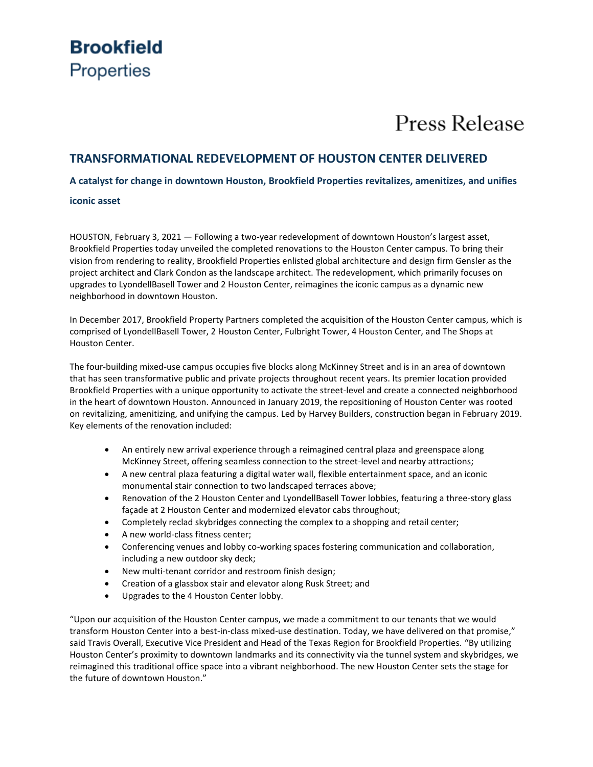## **Brookfield Properties**

# Press Release

### **TRANSFORMATIONAL REDEVELOPMENT OF HOUSTON CENTER DELIVERED**

**A catalyst for change in downtown Houston, Brookfield Properties revitalizes, amenitizes, and unifies** 

#### **iconic asset**

HOUSTON, February 3, 2021 — Following a two-year redevelopment of downtown Houston's largest asset, Brookfield Properties today unveiled the completed renovations to the Houston Center campus. To bring their vision from rendering to reality, Brookfield Properties enlisted global architecture and design firm Gensler as the project architect and Clark Condon as the landscape architect. The redevelopment, which primarily focuses on upgrades to LyondellBasell Tower and 2 Houston Center, reimagines the iconic campus as a dynamic new neighborhood in downtown Houston.

In December 2017, Brookfield Property Partners completed the acquisition of the Houston Center campus, which is comprised of LyondellBasell Tower, 2 Houston Center, Fulbright Tower, 4 Houston Center, and The Shops at Houston Center.

The four-building mixed-use campus occupies five blocks along McKinney Street and is in an area of downtown that has seen transformative public and private projects throughout recent years. Its premier location provided Brookfield Properties with a unique opportunity to activate the street-level and create a connected neighborhood in the heart of downtown Houston. Announced in January 2019, the repositioning of Houston Center was rooted on revitalizing, amenitizing, and unifying the campus. Led by Harvey Builders, construction began in February 2019. Key elements of the renovation included:

- An entirely new arrival experience through a reimagined central plaza and greenspace along McKinney Street, offering seamless connection to the street-level and nearby attractions;
- A new central plaza featuring a digital water wall, flexible entertainment space, and an iconic monumental stair connection to two landscaped terraces above;
- Renovation of the 2 Houston Center and LyondellBasell Tower lobbies, featuring a three-story glass façade at 2 Houston Center and modernized elevator cabs throughout;
- Completely reclad skybridges connecting the complex to a shopping and retail center;
- A new world-class fitness center;
- Conferencing venues and lobby co-working spaces fostering communication and collaboration, including a new outdoor sky deck;
- New multi-tenant corridor and restroom finish design;
- Creation of a glassbox stair and elevator along Rusk Street; and
- Upgrades to the 4 Houston Center lobby.

"Upon our acquisition of the Houston Center campus, we made a commitment to our tenants that we would transform Houston Center into a best-in-class mixed-use destination. Today, we have delivered on that promise," said Travis Overall, Executive Vice President and Head of the Texas Region for Brookfield Properties. "By utilizing Houston Center's proximity to downtown landmarks and its connectivity via the tunnel system and skybridges, we reimagined this traditional office space into a vibrant neighborhood. The new Houston Center sets the stage for the future of downtown Houston."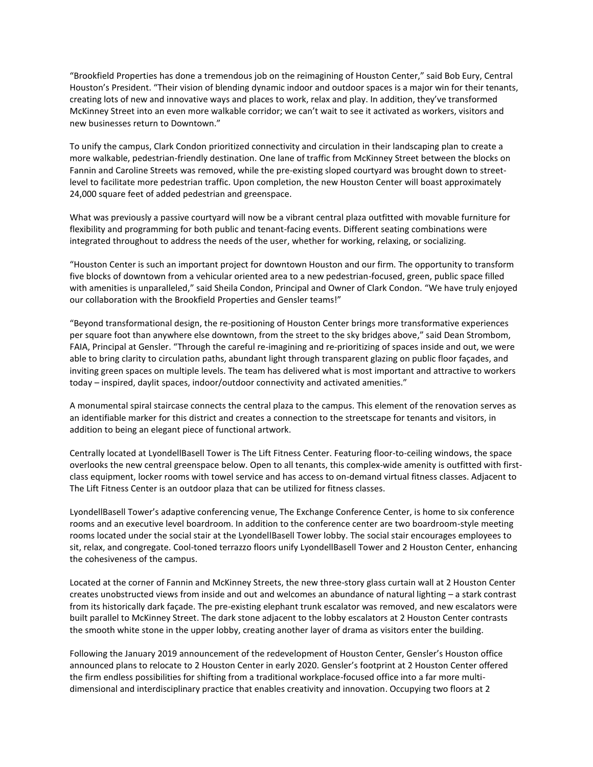"Brookfield Properties has done a tremendous job on the reimagining of Houston Center," said Bob Eury, Central Houston's President. "Their vision of blending dynamic indoor and outdoor spaces is a major win for their tenants, creating lots of new and innovative ways and places to work, relax and play. In addition, they've transformed McKinney Street into an even more walkable corridor; we can't wait to see it activated as workers, visitors and new businesses return to Downtown."

To unify the campus, Clark Condon prioritized connectivity and circulation in their landscaping plan to create a more walkable, pedestrian-friendly destination. One lane of traffic from McKinney Street between the blocks on Fannin and Caroline Streets was removed, while the pre-existing sloped courtyard was brought down to streetlevel to facilitate more pedestrian traffic. Upon completion, the new Houston Center will boast approximately 24,000 square feet of added pedestrian and greenspace.

What was previously a passive courtyard will now be a vibrant central plaza outfitted with movable furniture for flexibility and programming for both public and tenant-facing events. Different seating combinations were integrated throughout to address the needs of the user, whether for working, relaxing, or socializing.

"Houston Center is such an important project for downtown Houston and our firm. The opportunity to transform five blocks of downtown from a vehicular oriented area to a new pedestrian-focused, green, public space filled with amenities is unparalleled," said Sheila Condon, Principal and Owner of Clark Condon. "We have truly enjoyed our collaboration with the Brookfield Properties and Gensler teams!"

"Beyond transformational design, the re-positioning of Houston Center brings more transformative experiences per square foot than anywhere else downtown, from the street to the sky bridges above," said Dean Strombom, FAIA, Principal at Gensler. "Through the careful re-imagining and re-prioritizing of spaces inside and out, we were able to bring clarity to circulation paths, abundant light through transparent glazing on public floor façades, and inviting green spaces on multiple levels. The team has delivered what is most important and attractive to workers today – inspired, daylit spaces, indoor/outdoor connectivity and activated amenities."

A monumental spiral staircase connects the central plaza to the campus. This element of the renovation serves as an identifiable marker for this district and creates a connection to the streetscape for tenants and visitors, in addition to being an elegant piece of functional artwork.

Centrally located at LyondellBasell Tower is The Lift Fitness Center. Featuring floor-to-ceiling windows, the space overlooks the new central greenspace below. Open to all tenants, this complex-wide amenity is outfitted with firstclass equipment, locker rooms with towel service and has access to on-demand virtual fitness classes. Adjacent to The Lift Fitness Center is an outdoor plaza that can be utilized for fitness classes.

LyondellBasell Tower's adaptive conferencing venue, The Exchange Conference Center, is home to six conference rooms and an executive level boardroom. In addition to the conference center are two boardroom-style meeting rooms located under the social stair at the LyondellBasell Tower lobby. The social stair encourages employees to sit, relax, and congregate. Cool-toned terrazzo floors unify LyondellBasell Tower and 2 Houston Center, enhancing the cohesiveness of the campus.

Located at the corner of Fannin and McKinney Streets, the new three-story glass curtain wall at 2 Houston Center creates unobstructed views from inside and out and welcomes an abundance of natural lighting – a stark contrast from its historically dark façade. The pre-existing elephant trunk escalator was removed, and new escalators were built parallel to McKinney Street. The dark stone adjacent to the lobby escalators at 2 Houston Center contrasts the smooth white stone in the upper lobby, creating another layer of drama as visitors enter the building.

Following the January 2019 announcement of the redevelopment of Houston Center, Gensler's Houston office announced plans to relocate to 2 Houston Center in early 2020. Gensler's footprint at 2 Houston Center offered the firm endless possibilities for shifting from a traditional workplace-focused office into a far more multidimensional and interdisciplinary practice that enables creativity and innovation. Occupying two floors at 2